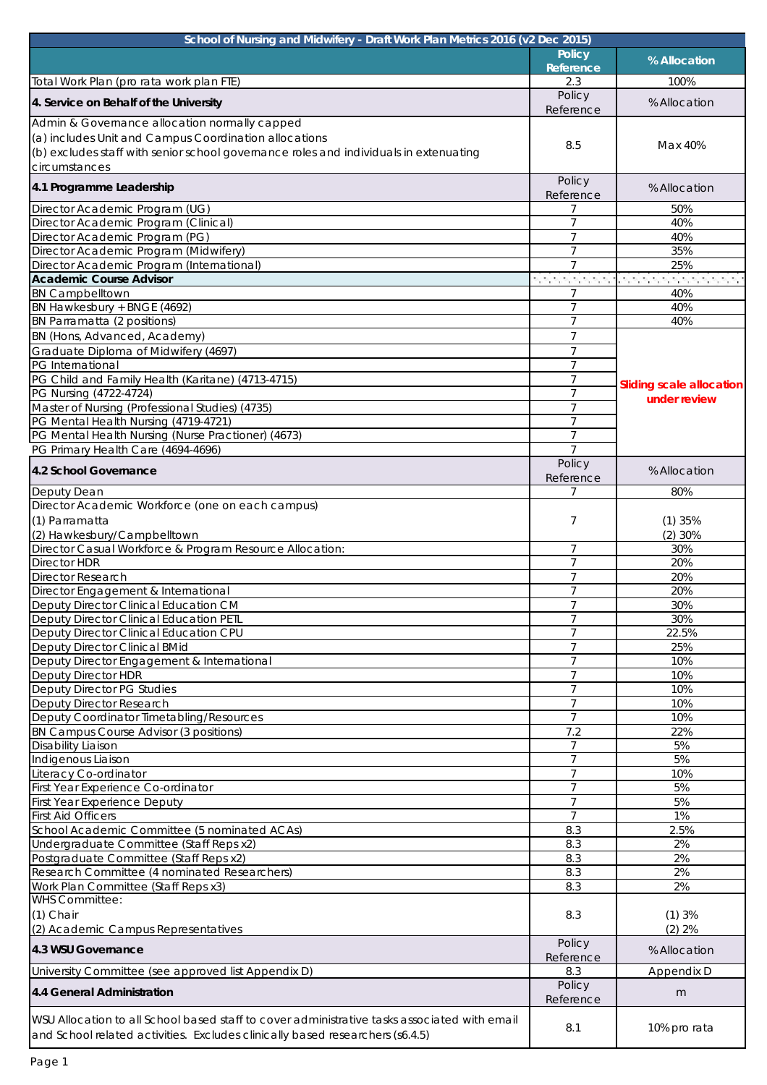| School of Nursing and Midwifery - Draft Work Plan Metrics 2016 (v2 Dec 2015)                                                                                                  |                                  |                                                 |
|-------------------------------------------------------------------------------------------------------------------------------------------------------------------------------|----------------------------------|-------------------------------------------------|
|                                                                                                                                                                               | <b>Policy</b>                    | % Allocation                                    |
| Total Work Plan (pro rata work plan FTE)                                                                                                                                      | Reference<br>2.3                 | 100%                                            |
|                                                                                                                                                                               | Policy                           |                                                 |
| 4. Service on Behalf of the University                                                                                                                                        | Reference                        | % Allocation                                    |
| Admin & Governance allocation normally capped                                                                                                                                 |                                  |                                                 |
| (a) includes Unit and Campus Coordination allocations                                                                                                                         | 8.5                              | Max 40%                                         |
| (b) excludes staff with senior school governance roles and individuals in extenuating                                                                                         |                                  |                                                 |
| circumstances                                                                                                                                                                 |                                  |                                                 |
| 4.1 Programme Leadership                                                                                                                                                      | Policy                           | % Allocation                                    |
| Director Academic Program (UG)                                                                                                                                                | Reference                        | 50%                                             |
| Director Academic Program (Clinical)                                                                                                                                          | 7                                | 40%                                             |
| Director Academic Program (PG)                                                                                                                                                | $\overline{7}$                   | 40%                                             |
| Director Academic Program (Midwifery)                                                                                                                                         | $\overline{7}$                   | 35%                                             |
| Director Academic Program (International)                                                                                                                                     | $\overline{7}$                   | 25%                                             |
| <b>Academic Course Advisor</b>                                                                                                                                                |                                  | n na mana mana kanan mana mana mana             |
| <b>BN Campbelltown</b>                                                                                                                                                        |                                  | 40%                                             |
| BN Hawkesbury + BNGE (4692)<br>BN Parramatta (2 positions)                                                                                                                    | $\overline{7}$<br>7              | 40%<br>40%                                      |
| BN (Hons, Advanced, Academy)                                                                                                                                                  | $\overline{7}$                   |                                                 |
| Graduate Diploma of Midwifery (4697)                                                                                                                                          | 7                                |                                                 |
| PG International                                                                                                                                                              | $\overline{7}$                   |                                                 |
| PG Child and Family Health (Karitane) (4713-4715)                                                                                                                             | $\overline{7}$                   |                                                 |
| PG Nursing (4722-4724)                                                                                                                                                        | 7                                | <b>Sliding scale allocation</b><br>under review |
| Master of Nursing (Professional Studies) (4735)                                                                                                                               | $\overline{7}$                   |                                                 |
| PG Mental Health Nursing (4719-4721)                                                                                                                                          | 7                                |                                                 |
| PG Mental Health Nursing (Nurse Practioner) (4673)                                                                                                                            | $\overline{7}$                   |                                                 |
| PG Primary Health Care (4694-4696)                                                                                                                                            | Policy                           |                                                 |
| 4.2 School Governance                                                                                                                                                         | Reference                        | % Allocation                                    |
| Deputy Dean                                                                                                                                                                   | 7                                | 80%                                             |
| Director Academic Workforce (one on each campus)                                                                                                                              |                                  |                                                 |
| (1) Parramatta                                                                                                                                                                | 7                                | (1)35%                                          |
| (2) Hawkesbury/Campbelltown                                                                                                                                                   |                                  | $(2)$ 30%                                       |
| Director Casual Workforce & Program Resource Allocation:                                                                                                                      | 7                                | 30%                                             |
| <b>Director HDR</b>                                                                                                                                                           | $\overline{7}$                   | 20%                                             |
| <b>Director Research</b>                                                                                                                                                      | $\overline{7}$<br>$\overline{7}$ | 20%<br>20%                                      |
| Director Engagement & International<br>Deputy Director Clinical Education CM                                                                                                  | $\overline{7}$                   | 30%                                             |
| <b>Deputy Director Clinical Education PETL</b>                                                                                                                                | $\overline{7}$                   | 30%                                             |
| Deputy Director Clinical Education CPU                                                                                                                                        | $\overline{7}$                   | 22.5%                                           |
| Deputy Director Clinical BMid                                                                                                                                                 | 7                                | 25%                                             |
| Deputy Director Engagement & International                                                                                                                                    | $\overline{7}$                   | 10%                                             |
| <b>Deputy Director HDR</b>                                                                                                                                                    | 7                                | 10%                                             |
| Deputy Director PG Studies                                                                                                                                                    | $\overline{7}$<br>$\overline{7}$ | 10%                                             |
| Deputy Director Research<br>Deputy Coordinator Timetabling/Resources                                                                                                          | $\overline{7}$                   | 10%<br>10%                                      |
| BN Campus Course Advisor (3 positions)                                                                                                                                        | 7.2                              | 22%                                             |
| Disability Liaison                                                                                                                                                            | $\overline{7}$                   | 5%                                              |
| Indigenous Liaison                                                                                                                                                            | 7                                | 5%                                              |
| Literacy Co-ordinator                                                                                                                                                         | $\overline{7}$                   | 10%                                             |
| First Year Experience Co-ordinator                                                                                                                                            | $\overline{7}$                   | 5%                                              |
| <b>First Year Experience Deputy</b>                                                                                                                                           | $\overline{7}$                   | 5%                                              |
| <b>First Aid Officers</b>                                                                                                                                                     | $\overline{7}$                   | 1%                                              |
| School Academic Committee (5 nominated ACAs)                                                                                                                                  | 8.3<br>8.3                       | 2.5%<br>2%                                      |
| Undergraduate Committee (Staff Reps x2)<br>Postgraduate Committee (Staff Reps x2)                                                                                             | 8.3                              | 2%                                              |
| Research Committee (4 nominated Researchers)                                                                                                                                  | 8.3                              | 2%                                              |
| Work Plan Committee (Staff Reps x3)                                                                                                                                           | 8.3                              | 2%                                              |
| <b>WHS Committee:</b>                                                                                                                                                         |                                  |                                                 |
| $(1)$ Chair                                                                                                                                                                   | 8.3                              | (1)3%                                           |
| (2) Academic Campus Representatives                                                                                                                                           |                                  | $(2)$ 2%                                        |
| 4.3 WSU Governance                                                                                                                                                            | Policy<br>Reference              | % Allocation                                    |
| University Committee (see approved list Appendix D)                                                                                                                           | 8.3                              | Appendix D                                      |
| 4.4 General Administration                                                                                                                                                    | Policy                           |                                                 |
|                                                                                                                                                                               | Reference                        | m                                               |
| WSU Allocation to all School based staff to cover administrative tasks associated with email<br>and School related activities. Excludes clinically based researchers (s6.4.5) | 8.1                              | 10% pro rata                                    |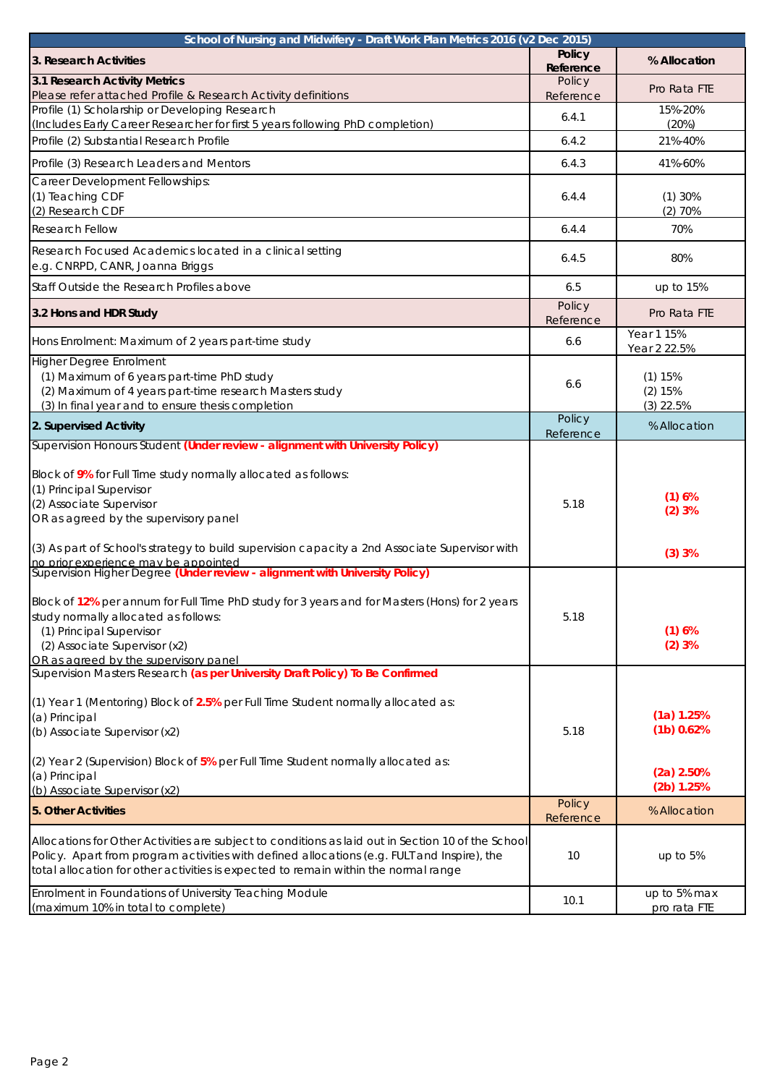| School of Nursing and Midwifery - Draft Work Plan Metrics 2016 (v2 Dec 2015)                                                                                                                                                                                                                                                                                                                                                                                              |                            |                                                          |
|---------------------------------------------------------------------------------------------------------------------------------------------------------------------------------------------------------------------------------------------------------------------------------------------------------------------------------------------------------------------------------------------------------------------------------------------------------------------------|----------------------------|----------------------------------------------------------|
| 3. Research Activities                                                                                                                                                                                                                                                                                                                                                                                                                                                    | <b>Policy</b><br>Reference | % Allocation                                             |
| 3.1 Research Activity Metrics<br>Please refer attached Profile & Research Activity definitions                                                                                                                                                                                                                                                                                                                                                                            | Policy<br>Reference        | Pro Rata FTE                                             |
| Profile (1) Scholarship or Developing Research<br>(Includes Early Career Researcher for first 5 years following PhD completion)                                                                                                                                                                                                                                                                                                                                           | 6.4.1                      | 15%-20%<br>(20%)                                         |
| Profile (2) Substantial Research Profile                                                                                                                                                                                                                                                                                                                                                                                                                                  | 6.4.2                      | 21%-40%                                                  |
| Profile (3) Research Leaders and Mentors                                                                                                                                                                                                                                                                                                                                                                                                                                  | 6.4.3                      | 41%-60%                                                  |
| Career Development Fellowships:<br>(1) Teaching CDF<br>(2) Research CDF                                                                                                                                                                                                                                                                                                                                                                                                   | 6.4.4                      | (1)30%<br>$(2)$ 70%                                      |
| <b>Research Fellow</b>                                                                                                                                                                                                                                                                                                                                                                                                                                                    | 6.4.4                      | 70%                                                      |
| Research Focused Academics located in a clinical setting<br>e.g. CNRPD, CANR, Joanna Briggs                                                                                                                                                                                                                                                                                                                                                                               | 6.4.5                      | 80%                                                      |
| Staff Outside the Research Profiles above                                                                                                                                                                                                                                                                                                                                                                                                                                 | 6.5                        | up to 15%                                                |
| 3.2 Hons and HDR Study                                                                                                                                                                                                                                                                                                                                                                                                                                                    | Policy<br>Reference        | Pro Rata FTE                                             |
| Hons Enrolment: Maximum of 2 years part-time study                                                                                                                                                                                                                                                                                                                                                                                                                        | 6.6                        | Year 1 15%<br>Year 2 22.5%                               |
| <b>Higher Degree Enrolment</b><br>(1) Maximum of 6 years part-time PhD study<br>(2) Maximum of 4 years part-time research Masters study<br>(3) In final year and to ensure thesis completion                                                                                                                                                                                                                                                                              | 6.6                        | (1) 15%<br>(2) 15%<br>$(3)$ 22.5%                        |
| 2. Supervised Activity                                                                                                                                                                                                                                                                                                                                                                                                                                                    | Policy<br>Reference        | % Allocation                                             |
| Supervision Honours Student (Under review - alignment with University Policy)<br>Block of 9% for Full Time study normally allocated as follows:<br>(1) Principal Supervisor<br>(2) Associate Supervisor<br>OR as agreed by the supervisory panel<br>(3) As part of School's strategy to build supervision capacity a 2nd Associate Supervisor with<br>no prior experience may be appointed<br>Supervision Higher Degree (Under review - alignment with University Policy) | 5.18                       | (1)6%<br>(2)3%<br>(3)3%                                  |
| Block of 12% per annum for Full Time PhD study for 3 years and for Masters (Hons) for 2 years<br>study normally allocated as follows:<br>(1) Principal Supervisor<br>(2) Associate Supervisor (x2)<br>OR as agreed by the supervisory panel                                                                                                                                                                                                                               | 5.18                       | (1)6%<br>(2)3%                                           |
| Supervision Masters Research (as per University Draft Policy) To Be Confirmed<br>$(1)$ Year 1 (Mentoring) Block of 2.5% per Full Time Student normally allocated as:<br>(a) Principal<br>(b) Associate Supervisor (x2)<br>$(2)$ Year 2 (Supervision) Block of $5\%$ per Full Time Student normally allocated as:<br>(a) Principal<br>(b) Associate Supervisor (x2)                                                                                                        | 5.18                       | (1a) 1.25%<br>(1b) 0.62%<br>$(2a)$ 2.50%<br>$(2b)$ 1.25% |
| 5. Other Activities                                                                                                                                                                                                                                                                                                                                                                                                                                                       | Policy                     | % Allocation                                             |
| Allocations for Other Activities are subject to conditions as laid out in Section 10 of the School<br>Policy. Apart from program activities with defined allocations (e.g. FULT and Inspire), the<br>total allocation for other activities is expected to remain within the normal range                                                                                                                                                                                  | Reference<br>10            | up to $5%$                                               |
| Enrolment in Foundations of University Teaching Module<br>(maximum 10% in total to complete)                                                                                                                                                                                                                                                                                                                                                                              | 10.1                       | up to 5% max<br>pro rata FTE                             |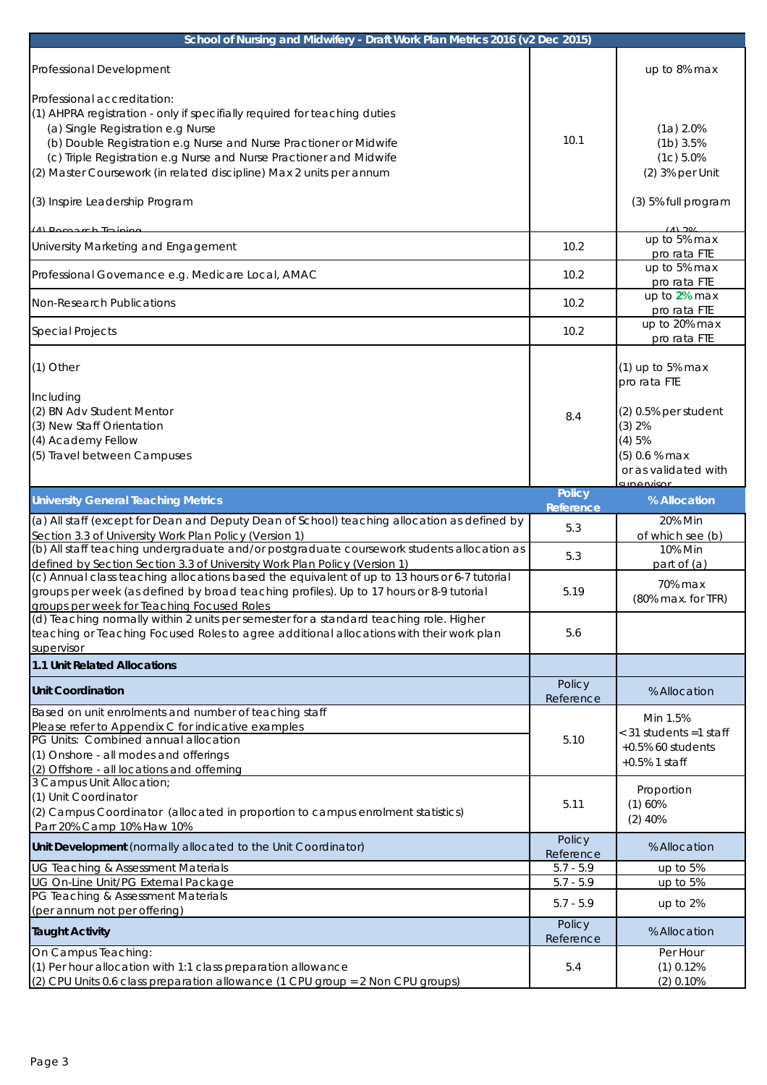| School of Nursing and Midwifery - Draft Work Plan Metrics 2016 (v2 Dec 2015)                                                                                                                                                                                                                                                                                                                      |                            |                                                                                                                                                  |
|---------------------------------------------------------------------------------------------------------------------------------------------------------------------------------------------------------------------------------------------------------------------------------------------------------------------------------------------------------------------------------------------------|----------------------------|--------------------------------------------------------------------------------------------------------------------------------------------------|
| Professional Development                                                                                                                                                                                                                                                                                                                                                                          |                            | up to 8% max                                                                                                                                     |
| Professional accreditation:<br>(1) AHPRA registration - only if specifially required for teaching duties<br>(a) Single Registration e.g Nurse<br>(b) Double Registration e.g Nurse and Nurse Practioner or Midwife<br>(c) Triple Registration e.g Nurse and Nurse Practioner and Midwife<br>(2) Master Coursework (in related discipline) Max 2 units per annum<br>(3) Inspire Leadership Program | 10.1                       | (1a) 2.0%<br>$(1b)$ 3.5%<br>(1c) 5.0%<br>$(2)$ 3% per Unit<br>(3) 5% full program                                                                |
| (A) Docograp Training<br>University Marketing and Engagement                                                                                                                                                                                                                                                                                                                                      | 10.2                       | (1) 20/<br>up to 5% max<br>pro rata FTE                                                                                                          |
| Professional Governance e.g. Medicare Local, AMAC                                                                                                                                                                                                                                                                                                                                                 | 10.2                       | up to 5% max<br>pro rata FTE                                                                                                                     |
| Non-Research Publications                                                                                                                                                                                                                                                                                                                                                                         | 10.2                       | up to 2% max<br>pro rata FTE                                                                                                                     |
| <b>Special Projects</b>                                                                                                                                                                                                                                                                                                                                                                           | 10.2                       | up to 20% max<br>pro rata FTE                                                                                                                    |
| $(1)$ Other<br>Including<br>(2) BN Adv Student Mentor<br>(3) New Staff Orientation<br>(4) Academy Fellow<br>(5) Travel between Campuses                                                                                                                                                                                                                                                           | 8.4                        | $(1)$ up to 5% max<br>pro rata FTE<br>$(2)$ 0.5% per student<br>(3) 2%<br>(4)5%<br>$(5)$ 0.6 % max<br>or as validated with<br><u>: unarwisor</u> |
| <b>University General Teaching Metrics</b>                                                                                                                                                                                                                                                                                                                                                        | <b>Policy</b><br>Reference | % Allocation                                                                                                                                     |
| (a) All staff (except for Dean and Deputy Dean of School) teaching allocation as defined by<br>Section 3.3 of University Work Plan Policy (Version 1)                                                                                                                                                                                                                                             | 5.3                        | 20% Min<br>of which see (b)                                                                                                                      |
| (b) All staff teaching undergraduate and/or postgraduate coursework students allocation as<br>defined by Section Section 3.3 of University Work Plan Policy (Version 1)                                                                                                                                                                                                                           | 5.3                        | 10% Min<br>part of (a)                                                                                                                           |
| (c) Annual class teaching allocations based the equivalent of up to 13 hours or 6-7 tutorial<br>groups per week (as defined by broad teaching profiles). Up to 17 hours or 8-9 tutorial<br>groups per week for Teaching Focused Roles                                                                                                                                                             | 5.19                       | 70% max<br>$(80\%$ max. for TFR)                                                                                                                 |
| (d) Teaching normally within 2 units per semester for a standard teaching role. Higher<br>teaching or Teaching Focused Roles to agree additional allocations with their work plan<br>supervisor                                                                                                                                                                                                   | 5.6                        |                                                                                                                                                  |
| 1.1 Unit Related Allocations                                                                                                                                                                                                                                                                                                                                                                      |                            |                                                                                                                                                  |
|                                                                                                                                                                                                                                                                                                                                                                                                   |                            |                                                                                                                                                  |
| <b>Unit Coordination</b>                                                                                                                                                                                                                                                                                                                                                                          | Policy<br>Reference        | % Allocation                                                                                                                                     |
| Based on unit enrolments and number of teaching staff<br>Please refer to Appendix C for indicative examples<br>PG Units: Combined annual allocation<br>(1) Onshore - all modes and offerings<br>(2) Offshore - all locations and offerning                                                                                                                                                        | 5.10                       | Min 1.5%<br>< 31 students =1 staff<br>$+0.5\%$ 60 students<br>$+0.5\%$ 1 staff                                                                   |
| 3 Campus Unit Allocation;<br>(1) Unit Coordinator<br>(2) Campus Coordinator (allocated in proportion to campus enrolment statistics)<br>Parr 20% Camp 10% Haw 10%                                                                                                                                                                                                                                 | 5.11                       | Proportion<br>(1)60%<br>$(2)$ 40%                                                                                                                |
| Unit Development (normally allocated to the Unit Coordinator)                                                                                                                                                                                                                                                                                                                                     | Policy<br>Reference        | % Allocation                                                                                                                                     |
| <b>UG Teaching &amp; Assessment Materials</b>                                                                                                                                                                                                                                                                                                                                                     | $5.7 - 5.9$                | up to 5%                                                                                                                                         |
| UG On-Line Unit/PG External Package                                                                                                                                                                                                                                                                                                                                                               | $5.7 - 5.9$                | up to 5%                                                                                                                                         |
| PG Teaching & Assessment Materials<br>(per annum not per offering)                                                                                                                                                                                                                                                                                                                                | $5.7 - 5.9$                | up to 2%                                                                                                                                         |
| <b>Taught Activity</b>                                                                                                                                                                                                                                                                                                                                                                            | Policy<br>Reference        | % Allocation                                                                                                                                     |
| On Campus Teaching:<br>(1) Per hour allocation with 1:1 class preparation allowance                                                                                                                                                                                                                                                                                                               | 5.4                        | Per Hour<br>$(1)$ 0.12%                                                                                                                          |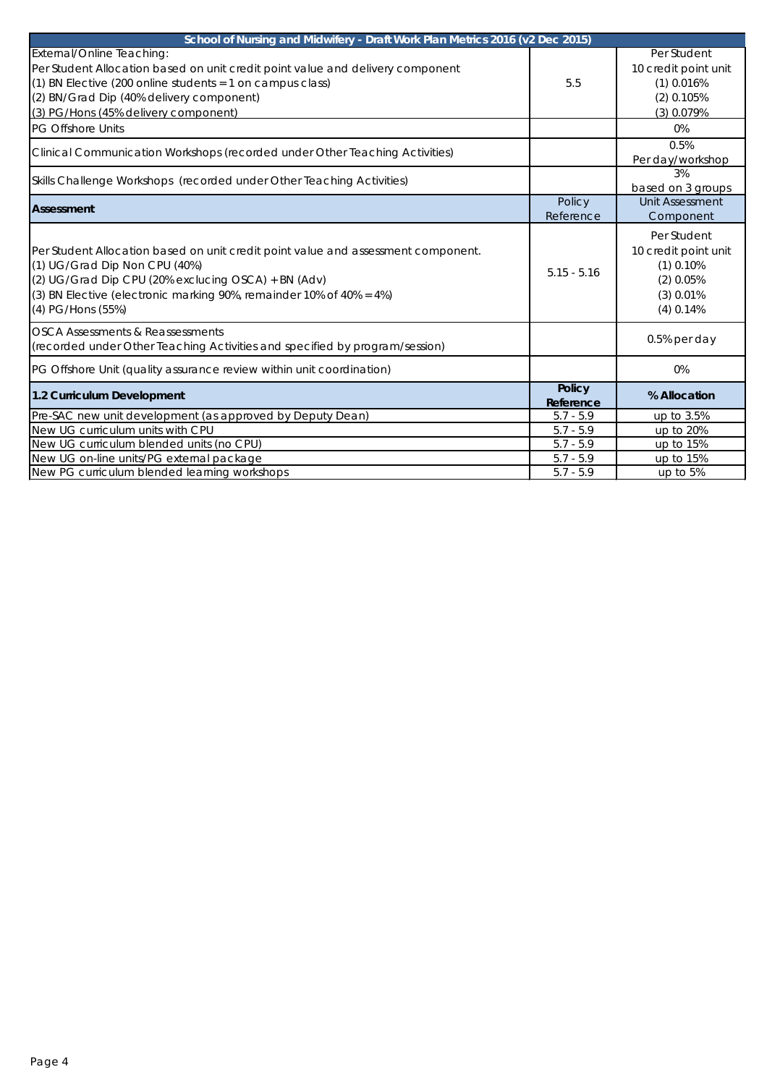| School of Nursing and Midwifery - Draft Work Plan Metrics 2016 (v2 Dec 2015)                                                                                                                                                                                          |                            |                                                                                                 |
|-----------------------------------------------------------------------------------------------------------------------------------------------------------------------------------------------------------------------------------------------------------------------|----------------------------|-------------------------------------------------------------------------------------------------|
| External/Online Teaching:<br>Per Student Allocation based on unit credit point value and delivery component<br>$(1)$ BN Elective (200 online students = 1 on campus class)<br>(2) BN/Grad Dip (40% delivery component)<br>(3) PG/Hons (45% delivery component)        | 5.5                        | Per Student<br>10 credit point unit<br>$(1)$ 0.016%<br>$(2)$ 0.105%<br>$(3)$ 0.079%             |
| <b>PG Offshore Units</b>                                                                                                                                                                                                                                              |                            | 0%                                                                                              |
| Clinical Communication Workshops (recorded under Other Teaching Activities)                                                                                                                                                                                           |                            | 0.5%<br>Per day/workshop                                                                        |
| Skills Challenge Workshops (recorded under Other Teaching Activities)                                                                                                                                                                                                 |                            | 3%<br>based on 3 groups                                                                         |
| <b>Assessment</b>                                                                                                                                                                                                                                                     | Policy<br>Reference        | <b>Unit Assessment</b><br>Component                                                             |
| Per Student Allocation based on unit credit point value and assessment component.<br>(1) UG/Grad Dip Non CPU (40%)<br>(2) UG/Grad Dip CPU (20% exclucing OSCA) + BN (Adv)<br>(3) BN Elective (electronic marking 90%, remainder 10% of 40% = 4%)<br>(4) PG/Hons (55%) | $5.15 - 5.16$              | Per Student<br>10 credit point unit<br>$(1)$ 0.10%<br>$(2)$ 0.05%<br>$(3)$ 0.01%<br>$(4)$ 0.14% |
| <b>OSCA Assessments &amp; Reassessments</b><br>(recorded under Other Teaching Activities and specified by program/session)                                                                                                                                            |                            | $0.5%$ per day                                                                                  |
| PG Offshore Unit (quality assurance review within unit coordination)                                                                                                                                                                                                  |                            | 0%                                                                                              |
| 1.2 Curriculum Development                                                                                                                                                                                                                                            | <b>Policy</b><br>Reference | % Allocation                                                                                    |
| Pre-SAC new unit development (as approved by Deputy Dean)                                                                                                                                                                                                             | $5.7 - 5.9$                | up to 3.5%                                                                                      |
| New UG curriculum units with CPU                                                                                                                                                                                                                                      | $5.7 - 5.9$                | up to 20%                                                                                       |
| New UG curriculum blended units (no CPU)                                                                                                                                                                                                                              | $5.7 - 5.9$                | up to 15%                                                                                       |
| New UG on-line units/PG external package                                                                                                                                                                                                                              | $5.7 - 5.9$                | up to 15%                                                                                       |
| New PG curriculum blended learning workshops                                                                                                                                                                                                                          | $5.7 - 5.9$                | up to 5%                                                                                        |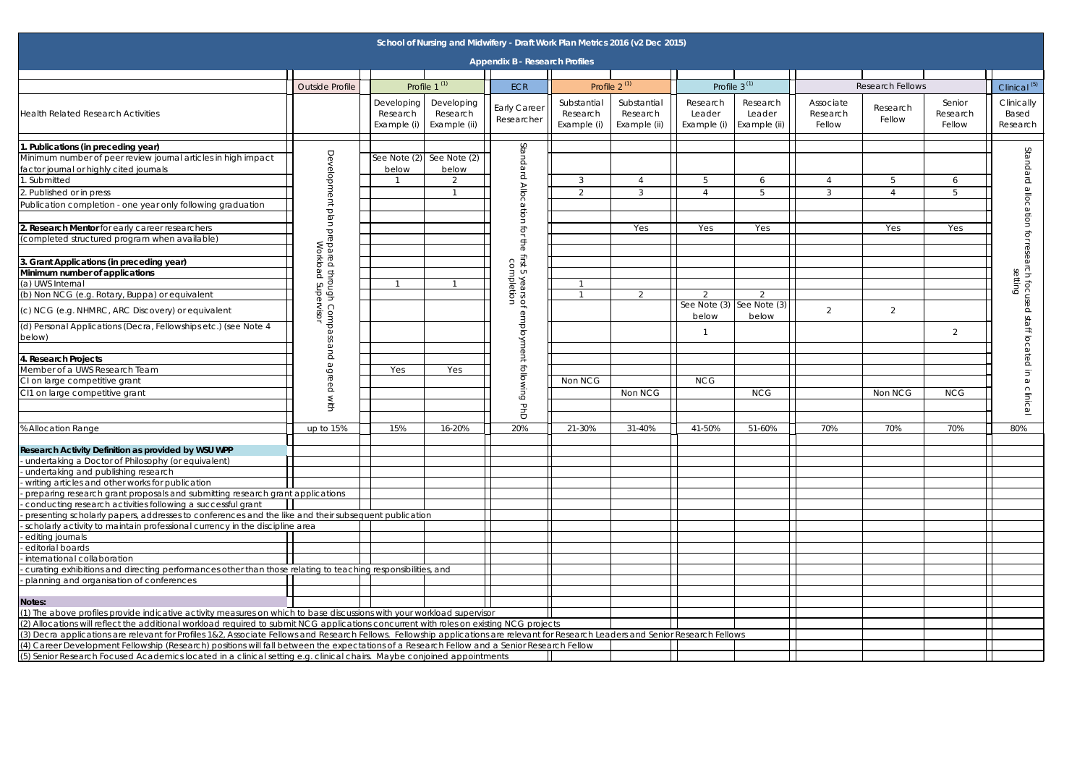| $3^{(1)}$                                                  |                                 | <b>Research Fellows</b> |                              | Clinical <sup>(5)</sup>                                            |
|------------------------------------------------------------|---------------------------------|-------------------------|------------------------------|--------------------------------------------------------------------|
| Research<br>Leader<br>Example (ii)                         | Associate<br>Research<br>Fellow | Research<br>Fellow      | Senior<br>Research<br>Fellow | Clinically<br>Based<br>Research                                    |
|                                                            |                                 |                         |                              |                                                                    |
| 6<br>5                                                     | $\overline{4}$<br>3             | 5<br>$\sqrt{4}$         | $\boldsymbol{6}$<br>5        |                                                                    |
| Yes                                                        |                                 | Yes                     | Yes                          |                                                                    |
|                                                            |                                 |                         |                              | setting                                                            |
| $\overline{2}$<br>$\overline{\text{See Note}}(3)$<br>below | $\overline{2}$                  | $\overline{2}$          |                              | Standard allocation for research focused staff located in a clinic |
|                                                            |                                 |                         | $\overline{2}$               |                                                                    |
|                                                            |                                 |                         |                              |                                                                    |
| NCG                                                        |                                 | Non NCG                 | <b>NCG</b>                   | உ                                                                  |
| 51-60%                                                     | 70%                             | 70%                     | 70%                          | 80%                                                                |
|                                                            |                                 |                         |                              |                                                                    |
|                                                            |                                 |                         |                              |                                                                    |
|                                                            |                                 |                         |                              |                                                                    |
|                                                            |                                 |                         |                              |                                                                    |
|                                                            |                                 |                         |                              |                                                                    |
|                                                            |                                 |                         |                              |                                                                    |
| VS                                                         |                                 |                         |                              |                                                                    |
|                                                            |                                 |                         |                              |                                                                    |

|                                                                                                                                                                                                                                                                       |                                             |                                       |                                        | School of Nursing and Midwifery - Draft Work Plan Metrics 2016 (v2 Dec 2015) |                                        |                                         |                                   |                                        |                                 |                         |                              |                                              |
|-----------------------------------------------------------------------------------------------------------------------------------------------------------------------------------------------------------------------------------------------------------------------|---------------------------------------------|---------------------------------------|----------------------------------------|------------------------------------------------------------------------------|----------------------------------------|-----------------------------------------|-----------------------------------|----------------------------------------|---------------------------------|-------------------------|------------------------------|----------------------------------------------|
|                                                                                                                                                                                                                                                                       |                                             |                                       |                                        | <b>Appendix B - Research Profiles</b>                                        |                                        |                                         |                                   |                                        |                                 |                         |                              |                                              |
|                                                                                                                                                                                                                                                                       |                                             |                                       |                                        |                                                                              |                                        |                                         |                                   |                                        |                                 |                         |                              |                                              |
|                                                                                                                                                                                                                                                                       | <b>Outside Profile</b>                      |                                       | Profile 1 <sup>(1)</sup>               | <b>ECR</b>                                                                   |                                        | Profile $2^{(1)}$                       |                                   | Profile $3^{(1)}$                      |                                 | <b>Research Fellows</b> |                              | Clinical <sup>(5)</sup>                      |
| <b>Health Related Research Activities</b>                                                                                                                                                                                                                             |                                             | Developing<br>Research<br>Example (i) | Developing<br>Research<br>Example (ii) | <b>Early Career</b><br>Researcher                                            | Substantial<br>Research<br>Example (i) | Substantial<br>Research<br>Example (ii) | Research<br>Leader<br>Example (i) | Research<br>Leader<br>Example (ii)     | Associate<br>Research<br>Fellow | Research<br>Fellow      | Senior<br>Research<br>Fellow | Clinically<br>Based<br>Research              |
| . Publications (in preceding year)                                                                                                                                                                                                                                    |                                             |                                       |                                        |                                                                              |                                        |                                         |                                   |                                        |                                 |                         |                              |                                              |
| Minimum number of peer review journal articles in high impact                                                                                                                                                                                                         | Developm                                    | See Note $(2)$                        | See Note (2)                           | Standard                                                                     |                                        |                                         |                                   |                                        |                                 |                         |                              | Standard                                     |
| factor journal or highly cited journals                                                                                                                                                                                                                               |                                             | below                                 | below                                  |                                                                              |                                        |                                         |                                   |                                        |                                 |                         |                              |                                              |
| . Submitted                                                                                                                                                                                                                                                           |                                             |                                       | 2                                      |                                                                              | 3                                      | $\overline{A}$                          | 5                                 | -6                                     | $\overline{\mathcal{L}}$        | 5                       | 6                            |                                              |
| 2. Published or in press                                                                                                                                                                                                                                              |                                             |                                       |                                        | $\frac{\triangle}{\triangle}$                                                | $\mathcal{P}$                          | 3                                       |                                   | $\overline{5}$                         | 3                               | 4                       | 5                            |                                              |
| Publication completion - one year only following graduation                                                                                                                                                                                                           | lent<br>plan                                |                                       |                                        | cation                                                                       |                                        |                                         |                                   |                                        |                                 |                         |                              | allocation                                   |
| 2. Research Mentor for early career researchers                                                                                                                                                                                                                       |                                             |                                       |                                        | ĘOL                                                                          |                                        | Yes                                     | Yes                               | Yes                                    |                                 | Yes                     | Yes                          |                                              |
| (completed structured program when available)                                                                                                                                                                                                                         | prepared through Com<br>Workload Supervisor |                                       |                                        | the                                                                          |                                        |                                         |                                   |                                        |                                 |                         |                              | for research focused<br>for research focused |
| 3. Grant Applications (in preceding year)                                                                                                                                                                                                                             |                                             |                                       |                                        | First 5                                                                      |                                        |                                         |                                   |                                        |                                 |                         |                              |                                              |
| Minimum number of applications                                                                                                                                                                                                                                        |                                             |                                       |                                        | <sup>i</sup> irst 5 years of<br>completion                                   |                                        |                                         |                                   |                                        |                                 |                         |                              |                                              |
| (a) UWS Internal                                                                                                                                                                                                                                                      | Hrough                                      |                                       |                                        |                                                                              |                                        |                                         |                                   |                                        |                                 |                         |                              |                                              |
| (b) Non NCG (e.g. Rotary, Buppa) or equivalent                                                                                                                                                                                                                        |                                             |                                       |                                        |                                                                              |                                        | 2                                       | 2                                 | 2                                      |                                 |                         |                              |                                              |
| (c) NCG (e.g. NHMRC, ARC Discovery) or equivalent                                                                                                                                                                                                                     | $\bigcirc$<br>edwo:                         |                                       |                                        |                                                                              |                                        |                                         | below                             | See Note $(3)$ See Note $(3)$<br>below | $\overline{2}$                  | $\overline{2}$          |                              |                                              |
| (d) Personal Applications (Decra, Fellowships etc.) (see Note 4                                                                                                                                                                                                       |                                             |                                       |                                        |                                                                              |                                        |                                         |                                   |                                        |                                 |                         | 2                            |                                              |
| below)                                                                                                                                                                                                                                                                | S<br>$\omega$                               |                                       |                                        | employment following                                                         |                                        |                                         |                                   |                                        |                                 |                         |                              | staff located                                |
| 4. Research Projects                                                                                                                                                                                                                                                  |                                             |                                       |                                        |                                                                              |                                        |                                         |                                   |                                        |                                 |                         |                              |                                              |
| Member of a UWS Research Team                                                                                                                                                                                                                                         | agreed                                      | Yes                                   | Yes                                    |                                                                              |                                        |                                         |                                   |                                        |                                 |                         |                              | $\overline{5}$                               |
| CI on large competitive grant                                                                                                                                                                                                                                         |                                             |                                       |                                        |                                                                              | Non NCG                                |                                         | <b>NCG</b>                        |                                        |                                 |                         |                              |                                              |
| CI1 on large competitive grant                                                                                                                                                                                                                                        |                                             |                                       |                                        |                                                                              |                                        | Non NCG                                 |                                   | <b>NCG</b>                             |                                 | Non NCG                 | <b>NCG</b>                   |                                              |
|                                                                                                                                                                                                                                                                       |                                             |                                       |                                        | $\mathbf \sigma$<br>ŏ                                                        |                                        |                                         |                                   |                                        |                                 |                         |                              | clinic.                                      |
| % Allocation Range                                                                                                                                                                                                                                                    | up to 15%                                   | 15%                                   | 16-20%                                 | 20%                                                                          | 21-30%                                 | 31-40%                                  | 41-50%                            | 51-60%                                 | 70%                             | 70%                     | 70%                          | 80%                                          |
|                                                                                                                                                                                                                                                                       |                                             |                                       |                                        |                                                                              |                                        |                                         |                                   |                                        |                                 |                         |                              |                                              |
| Research Activity Definition as provided by WSU WPP                                                                                                                                                                                                                   |                                             |                                       |                                        |                                                                              |                                        |                                         |                                   |                                        |                                 |                         |                              |                                              |
| undertaking a Doctor of Philosophy (or equivalent)                                                                                                                                                                                                                    |                                             |                                       |                                        |                                                                              |                                        |                                         |                                   |                                        |                                 |                         |                              |                                              |
| undertaking and publishing research<br>- writing articles and other works for publication                                                                                                                                                                             |                                             |                                       |                                        |                                                                              |                                        |                                         |                                   |                                        |                                 |                         |                              |                                              |
| preparing research grant proposals and submitting research grant applications                                                                                                                                                                                         |                                             |                                       |                                        |                                                                              |                                        |                                         |                                   |                                        |                                 |                         |                              |                                              |
| conducting research activities following a successful grant                                                                                                                                                                                                           |                                             |                                       |                                        |                                                                              |                                        |                                         |                                   |                                        |                                 |                         |                              |                                              |
| presenting scholarly papers, addresses to conferences and the like and their subsequent publication                                                                                                                                                                   |                                             |                                       |                                        |                                                                              |                                        |                                         |                                   |                                        |                                 |                         |                              |                                              |
| scholarly activity to maintain professional currency in the discipline area                                                                                                                                                                                           |                                             |                                       |                                        |                                                                              |                                        |                                         |                                   |                                        |                                 |                         |                              |                                              |
| editing journals                                                                                                                                                                                                                                                      |                                             |                                       |                                        |                                                                              |                                        |                                         |                                   |                                        |                                 |                         |                              |                                              |
| editorial boards                                                                                                                                                                                                                                                      |                                             |                                       |                                        |                                                                              |                                        |                                         |                                   |                                        |                                 |                         |                              |                                              |
| - international collaboration                                                                                                                                                                                                                                         |                                             |                                       |                                        |                                                                              |                                        |                                         |                                   |                                        |                                 |                         |                              |                                              |
| curating exhibitions and directing performances other than those relating to teaching responsibilities, and                                                                                                                                                           |                                             |                                       |                                        |                                                                              |                                        |                                         |                                   |                                        |                                 |                         |                              |                                              |
| - planning and organisation of conferences                                                                                                                                                                                                                            |                                             |                                       |                                        |                                                                              |                                        |                                         |                                   |                                        |                                 |                         |                              |                                              |
|                                                                                                                                                                                                                                                                       |                                             |                                       |                                        |                                                                              |                                        |                                         |                                   |                                        |                                 |                         |                              |                                              |
| Notes:                                                                                                                                                                                                                                                                |                                             |                                       |                                        |                                                                              |                                        |                                         |                                   |                                        |                                 |                         |                              |                                              |
| (1) The above profiles provide indicative activity measures on which to base discussions with your workload supervisor                                                                                                                                                |                                             |                                       |                                        |                                                                              |                                        |                                         |                                   |                                        |                                 |                         |                              |                                              |
| (2) Allocations will reflect the additional workload required to submit NCG applications concurrent with roles on existing NCG projects                                                                                                                               |                                             |                                       |                                        |                                                                              |                                        |                                         |                                   |                                        |                                 |                         |                              |                                              |
| (3) Decra applications are relevant for Profiles 1&2, Associate Fellows and Research Fellows. Fellowship applications are relevant for Research Leaders and Senior Research Fellows                                                                                   |                                             |                                       |                                        |                                                                              |                                        |                                         |                                   |                                        |                                 |                         |                              |                                              |
| (4) Career Development Fellowship (Research) positions will fall between the expectations of a Research Fellow and a Senior Research Fellow<br>(5) Senior Research Focused Academics located in a clinical setting e.g. clinical chairs. Maybe conjoined appointments |                                             |                                       |                                        |                                                                              |                                        |                                         |                                   |                                        |                                 |                         |                              |                                              |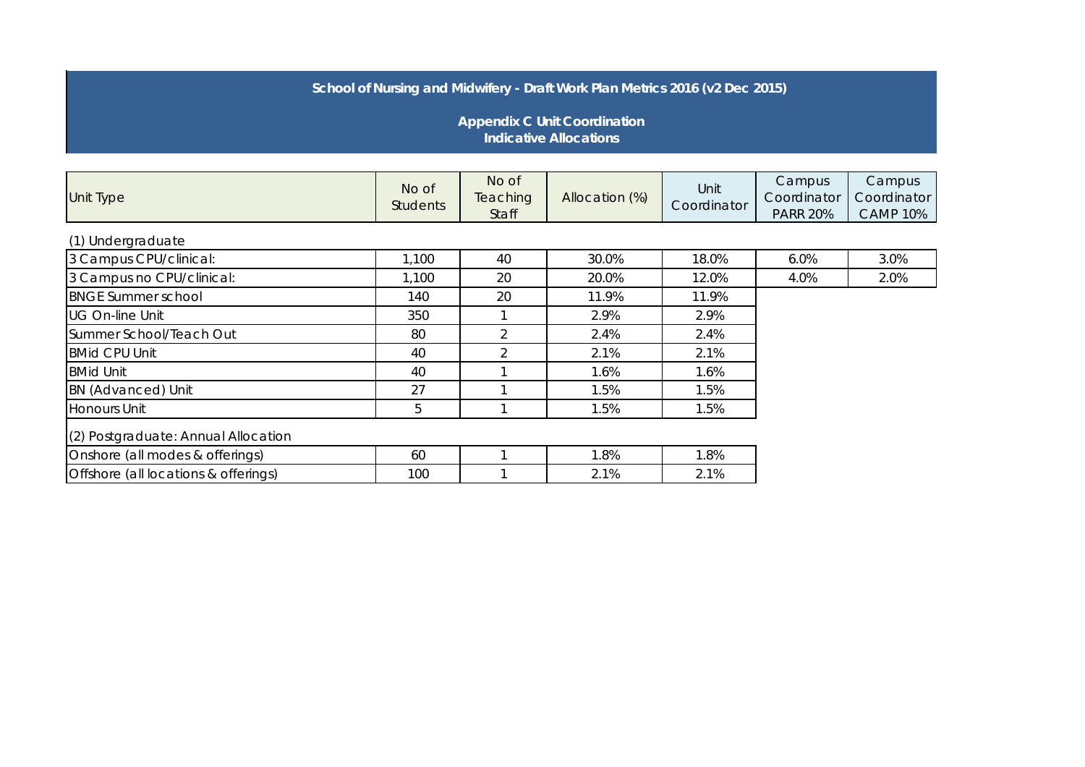## **School of Nursing and Midwifery - Draft Work Plan Metrics 2016 (v2 Dec 2015)**

 **Appendix C Unit Coordination Indicative Allocations**

| <b>Unit Type</b>                     | No of<br><b>Students</b> | No of<br>Teaching<br>Staff | Allocation (%) | Unit<br>Coordinator | Campus<br>Coordinator<br><b>PARR 20%</b> | Campus<br>Coordinator<br><b>CAMP 10%</b> |
|--------------------------------------|--------------------------|----------------------------|----------------|---------------------|------------------------------------------|------------------------------------------|
| (1) Undergraduate                    |                          |                            |                |                     |                                          |                                          |
| 3 Campus CPU/clinical:               | 1,100                    | 40                         | 30.0%          | 18.0%               | 6.0%                                     | 3.0%                                     |
| 3 Campus no CPU/clinical:            | 1,100                    | 20                         | 20.0%          | 12.0%               | 4.0%                                     | 2.0%                                     |
| <b>BNGE Summer school</b>            | 140                      | 20                         | 11.9%          | 11.9%               |                                          |                                          |
| <b>UG On-line Unit</b>               | 350                      |                            | 2.9%           | 2.9%                |                                          |                                          |
| Summer School/Teach Out              | 80                       | 2                          | 2.4%           | 2.4%                |                                          |                                          |
| <b>BMid CPU Unit</b>                 | 40                       | $\overline{2}$             | 2.1%           | 2.1%                |                                          |                                          |
| <b>BMid Unit</b>                     | 40                       |                            | 1.6%           | 1.6%                |                                          |                                          |
| <b>BN</b> (Advanced) Unit            | 27                       |                            | 1.5%           | 1.5%                |                                          |                                          |
| <b>Honours Unit</b>                  | 5                        |                            | 1.5%           | 1.5%                |                                          |                                          |
| (2) Postgraduate: Annual Allocation  |                          |                            |                |                     |                                          |                                          |
| Onshore (all modes & offerings)      | 60                       |                            | 1.8%           | 1.8%                |                                          |                                          |
| Offshore (all locations & offerings) | 100                      |                            | 2.1%           | 2.1%                |                                          |                                          |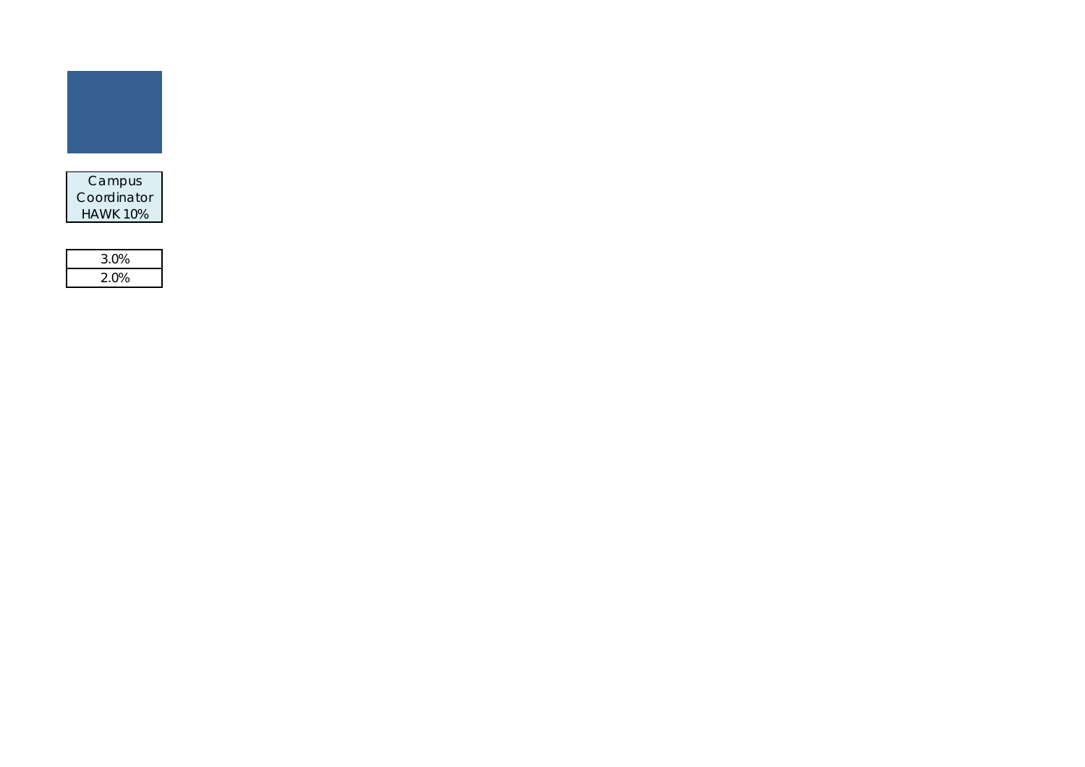

| 3.0% |  |
|------|--|
| 2.0% |  |